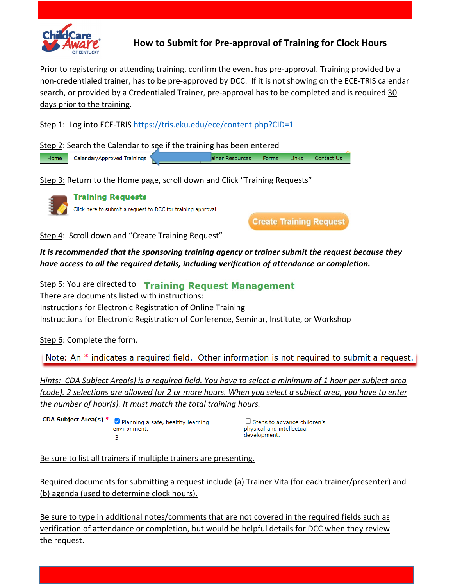

## **How to Submit for Pre-approval of Training for Clock Hours**

Prior to registering or attending training, confirm the event has pre-approval. Training provided by a non-credentialed trainer, has to be pre-approved by DCC. If it is not showing on the ECE-TRIS calendar search, or provided by a Credentialed Trainer, pre-approval has to be completed and is required 30 days prior to the training.

Step 1: Log into ECE-TRIS<https://tris.eku.edu/ece/content.php?CID=1>

Step 2: Search the Calendar to see if the training has been entered Calendar/Approved Trainings ainer Resources Forms Links Contact Us Home

Step 3: Return to the Home page, scroll down and Click "Training Requests"

**Training Requests** Click here to submit a request to DCC for training approval

**Create Training Request** 

Step 4: Scroll down and "Create Training Request"

*It is recommended that the sponsoring training agency or trainer submit the request because they have access to all the required details, including verification of attendance or completion.* 

Step 5: You are directed to Training Request Management There are documents listed with instructions: Instructions for Electronic Registration of Online Training Instructions for Electronic Registration of Conference, Seminar, Institute, or Workshop

Step 6: Complete the form.

Note: An  $*$  indicates a required field. Other information is not required to submit a request.

*Hints: CDA Subject Area(s) is a required field. You have to select a minimum of 1 hour per subject area (code). 2 selections are allowed for 2 or more hours. When you select a subject area, you have to enter the number of hour(s). It must match the total training hours.*

CDA Subject Area(s) \* Planning a safe, healthy learning environment. 3

 $\Box$  Steps to advance children's physical and intellectual development.

Be sure to list all trainers if multiple trainers are presenting.

Required documents for submitting a request include (a) Trainer Vita (for each trainer/presenter) and (b) agenda (used to determine clock hours).

Be sure to type in additional notes/comments that are not covered in the required fields such as verification of attendance or completion, but would be helpful details for DCC when they review the request.